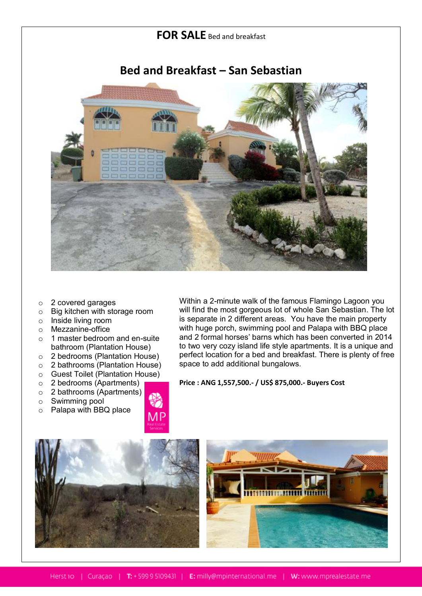

- o 2 covered garages
- o Big kitchen with storage room
- o Inside living room
- o Mezzanine-office
- o 1 master bedroom and en-suite bathroom (Plantation House)
- o 2 bedrooms (Plantation House)
- o 2 bathrooms (Plantation House)
- o Guest Toilet (Plantation House)
- o 2 bedrooms (Apartments)
- o 2 bathrooms (Apartments)
- o Swimming pool
- o Palapa with BBQ place



Within a 2-minute walk of the famous Flamingo Lagoon you will find the most gorgeous lot of whole San Sebastian. The lot is separate in 2 different areas. You have the main property with huge porch, swimming pool and Palapa with BBQ place and 2 formal horses' barns which has been converted in 2014 to two very cozy island life style apartments. It is a unique and perfect location for a bed and breakfast. There is plenty of free space to add additional bungalows.

**Price : ANG 1,557,500.- / US\$ 875,000.- Buyers Cost**



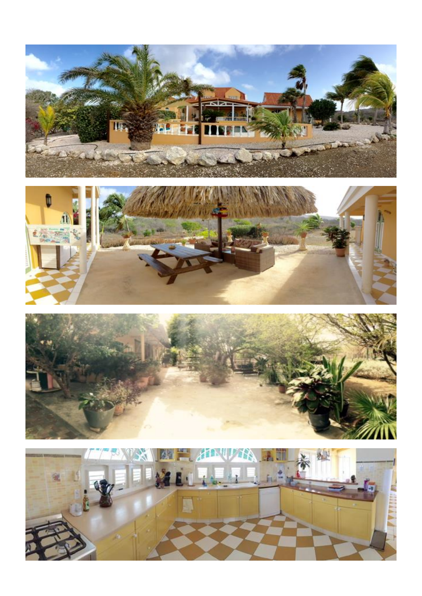





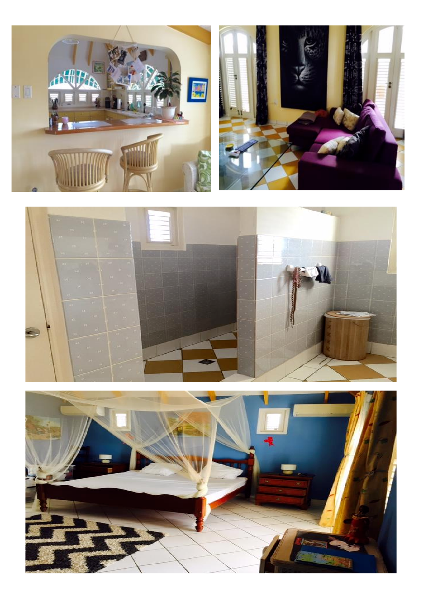



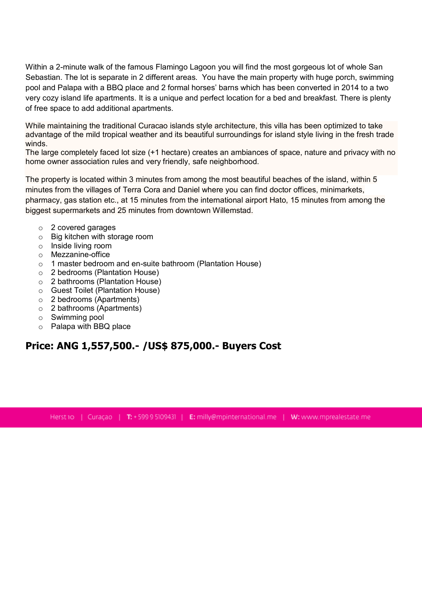Within a 2-minute walk of the famous Flamingo Lagoon you will find the most gorgeous lot of whole San Sebastian. The lot is separate in 2 different areas. You have the main property with huge porch, swimming pool and Palapa with a BBQ place and 2 formal horses' barns which has been converted in 2014 to a two very cozy island life apartments. It is a unique and perfect location for a bed and breakfast. There is plenty of free space to add additional apartments.

While maintaining the traditional Curacao islands style architecture, this villa has been optimized to take advantage of the mild tropical weather and its beautiful surroundings for island style living in the fresh trade winds.

The large completely faced lot size (+1 hectare) creates an ambiances of space, nature and privacy with no home owner association rules and very friendly, safe neighborhood.

The property is located within 3 minutes from among the most beautiful beaches of the island, within 5 minutes from the villages of Terra Cora and Daniel where you can find doctor offices, minimarkets, pharmacy, gas station etc., at 15 minutes from the international airport Hato, 15 minutes from among the biggest supermarkets and 25 minutes from downtown Willemstad.

- o 2 covered garages
- o Big kitchen with storage room
- o Inside living room
- o Mezzanine-office
- o 1 master bedroom and en-suite bathroom (Plantation House)
- o 2 bedrooms (Plantation House)
- o 2 bathrooms (Plantation House)
- o Guest Toilet (Plantation House)
- o 2 bedrooms (Apartments)
- o 2 bathrooms (Apartments)
- o Swimming pool
- o Palapa with BBQ place

## **Price: ANG 1,557,500.- /US\$ 875,000.- Buyers Cost**